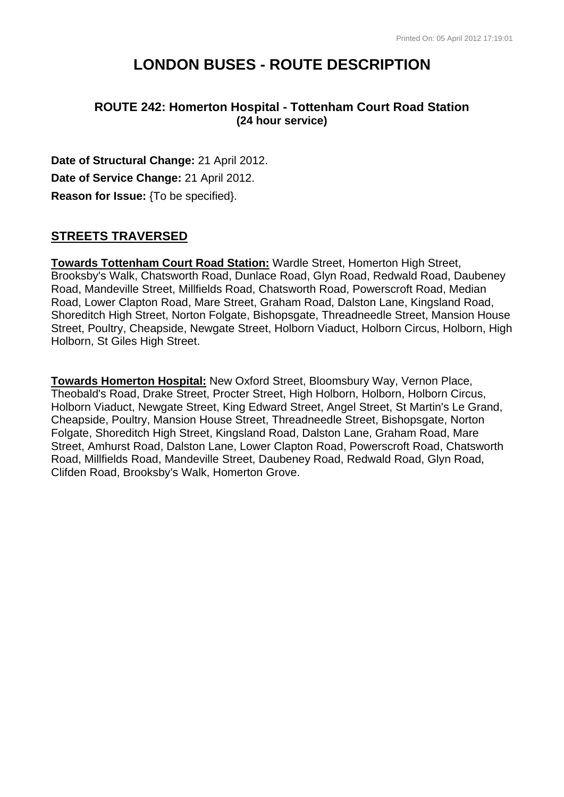# **LONDON BUSES - ROUTE DESCRIPTION**

# **ROUTE 242: Homerton Hospital - Tottenham Court Road Station (24 hour service)**

**Date of Structural Change:** 21 April 2012. **Date of Service Change:** 21 April 2012. **Reason for Issue:** {To be specified}.

# **STREETS TRAVERSED**

**Towards Tottenham Court Road Station:** Wardle Street, Homerton High Street, Brooksby's Walk, Chatsworth Road, Dunlace Road, Glyn Road, Redwald Road, Daubeney Road, Mandeville Street, Millfields Road, Chatsworth Road, Powerscroft Road, Median Road, Lower Clapton Road, Mare Street, Graham Road, Dalston Lane, Kingsland Road, Shoreditch High Street, Norton Folgate, Bishopsgate, Threadneedle Street, Mansion House Street, Poultry, Cheapside, Newgate Street, Holborn Viaduct, Holborn Circus, Holborn, High Holborn, St Giles High Street.

**Towards Homerton Hospital:** New Oxford Street, Bloomsbury Way, Vernon Place, Theobald's Road, Drake Street, Procter Street, High Holborn, Holborn, Holborn Circus, Holborn Viaduct, Newgate Street, King Edward Street, Angel Street, St Martin's Le Grand, Cheapside, Poultry, Mansion House Street, Threadneedle Street, Bishopsgate, Norton Folgate, Shoreditch High Street, Kingsland Road, Dalston Lane, Graham Road, Mare Street, Amhurst Road, Dalston Lane, Lower Clapton Road, Powerscroft Road, Chatsworth Road, Millfields Road, Mandeville Street, Daubeney Road, Redwald Road, Glyn Road, Clifden Road, Brooksby's Walk, Homerton Grove.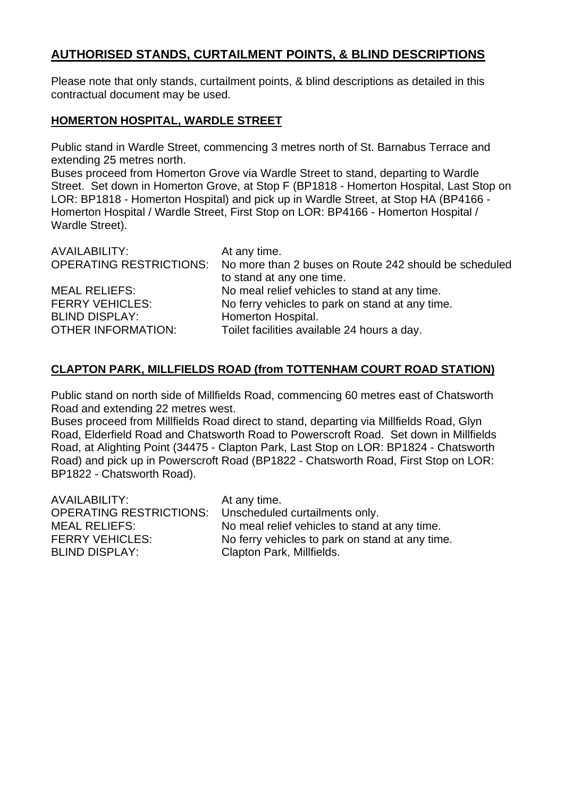# **AUTHORISED STANDS, CURTAILMENT POINTS, & BLIND DESCRIPTIONS**

Please note that only stands, curtailment points, & blind descriptions as detailed in this contractual document may be used.

#### **HOMERTON HOSPITAL, WARDLE STREET**

Public stand in Wardle Street, commencing 3 metres north of St. Barnabus Terrace and extending 25 metres north.

Buses proceed from Homerton Grove via Wardle Street to stand, departing to Wardle Street. Set down in Homerton Grove, at Stop F (BP1818 - Homerton Hospital, Last Stop on LOR: BP1818 - Homerton Hospital) and pick up in Wardle Street, at Stop HA (BP4166 - Homerton Hospital / Wardle Street, First Stop on LOR: BP4166 - Homerton Hospital / Wardle Street).

| AVAILABILITY:                  | At any time.                                          |
|--------------------------------|-------------------------------------------------------|
| <b>OPERATING RESTRICTIONS:</b> | No more than 2 buses on Route 242 should be scheduled |
|                                | to stand at any one time.                             |
| <b>MEAL RELIEFS:</b>           | No meal relief vehicles to stand at any time.         |
| <b>FERRY VEHICLES:</b>         | No ferry vehicles to park on stand at any time.       |
| <b>BLIND DISPLAY:</b>          | Homerton Hospital.                                    |
| <b>OTHER INFORMATION:</b>      | Toilet facilities available 24 hours a day.           |

# **CLAPTON PARK, MILLFIELDS ROAD (from TOTTENHAM COURT ROAD STATION)**

Public stand on north side of Millfields Road, commencing 60 metres east of Chatsworth Road and extending 22 metres west.

Buses proceed from Millfields Road direct to stand, departing via Millfields Road, Glyn Road, Elderfield Road and Chatsworth Road to Powerscroft Road. Set down in Millfields Road, at Alighting Point (34475 - Clapton Park, Last Stop on LOR: BP1824 - Chatsworth Road) and pick up in Powerscroft Road (BP1822 - Chatsworth Road, First Stop on LOR: BP1822 - Chatsworth Road).

| AVAILABILITY:<br>OPERATING RESTRICTIONS:<br><b>MEAL RELIEFS:</b> | At any time.<br>Unscheduled curtailments only.<br>No meal relief vehicles to stand at any time. |
|------------------------------------------------------------------|-------------------------------------------------------------------------------------------------|
| <b>FERRY VEHICLES:</b>                                           | No ferry vehicles to park on stand at any time.                                                 |
| <b>BLIND DISPLAY:</b>                                            | Clapton Park, Millfields.                                                                       |
|                                                                  |                                                                                                 |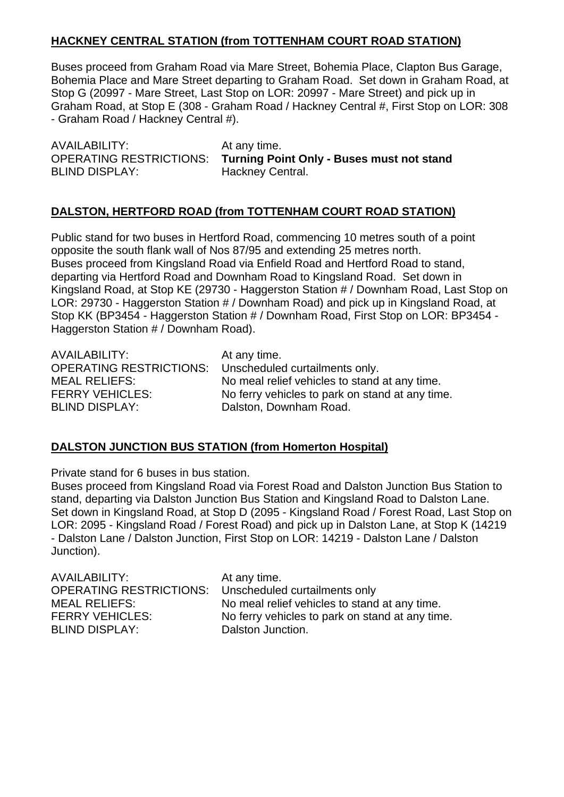## **HACKNEY CENTRAL STATION (from TOTTENHAM COURT ROAD STATION)**

Buses proceed from Graham Road via Mare Street, Bohemia Place, Clapton Bus Garage, Bohemia Place and Mare Street departing to Graham Road. Set down in Graham Road, at Stop G (20997 - Mare Street, Last Stop on LOR: 20997 - Mare Street) and pick up in Graham Road, at Stop E (308 - Graham Road / Hackney Central #, First Stop on LOR: 308 - Graham Road / Hackney Central #).

AVAILABILITY: At any time. BLIND DISPLAY: Hackney Central.

OPERATING RESTRICTIONS: **Turning Point Only - Buses must not stand**

## **DALSTON, HERTFORD ROAD (from TOTTENHAM COURT ROAD STATION)**

Public stand for two buses in Hertford Road, commencing 10 metres south of a point opposite the south flank wall of Nos 87/95 and extending 25 metres north. Buses proceed from Kingsland Road via Enfield Road and Hertford Road to stand, departing via Hertford Road and Downham Road to Kingsland Road. Set down in Kingsland Road, at Stop KE (29730 - Haggerston Station # / Downham Road, Last Stop on LOR: 29730 - Haggerston Station # / Downham Road) and pick up in Kingsland Road, at Stop KK (BP3454 - Haggerston Station # / Downham Road, First Stop on LOR: BP3454 - Haggerston Station # / Downham Road).

AVAILABILITY: At any time. OPERATING RESTRICTIONS: Unscheduled curtailments only. BLIND DISPLAY: Dalston, Downham Road.

MEAL RELIEFS: No meal relief vehicles to stand at any time. FERRY VEHICLES: No ferry vehicles to park on stand at any time.

## **DALSTON JUNCTION BUS STATION (from Homerton Hospital)**

Private stand for 6 buses in bus station.

Buses proceed from Kingsland Road via Forest Road and Dalston Junction Bus Station to stand, departing via Dalston Junction Bus Station and Kingsland Road to Dalston Lane. Set down in Kingsland Road, at Stop D (2095 - Kingsland Road / Forest Road, Last Stop on LOR: 2095 - Kingsland Road / Forest Road) and pick up in Dalston Lane, at Stop K (14219 - Dalston Lane / Dalston Junction, First Stop on LOR: 14219 - Dalston Lane / Dalston Junction).

| <b>OPERATING RESTRICTIONS:</b><br>Unscheduled curtailments only<br>No meal relief vehicles to stand at any time.<br><b>MEAL RELIEFS:</b><br><b>FERRY VEHICLES:</b><br><b>BLIND DISPLAY:</b><br>Dalston Junction. | <b>AVAILABILITY:</b> | At any time.<br>No ferry vehicles to park on stand at any time. |
|------------------------------------------------------------------------------------------------------------------------------------------------------------------------------------------------------------------|----------------------|-----------------------------------------------------------------|
|------------------------------------------------------------------------------------------------------------------------------------------------------------------------------------------------------------------|----------------------|-----------------------------------------------------------------|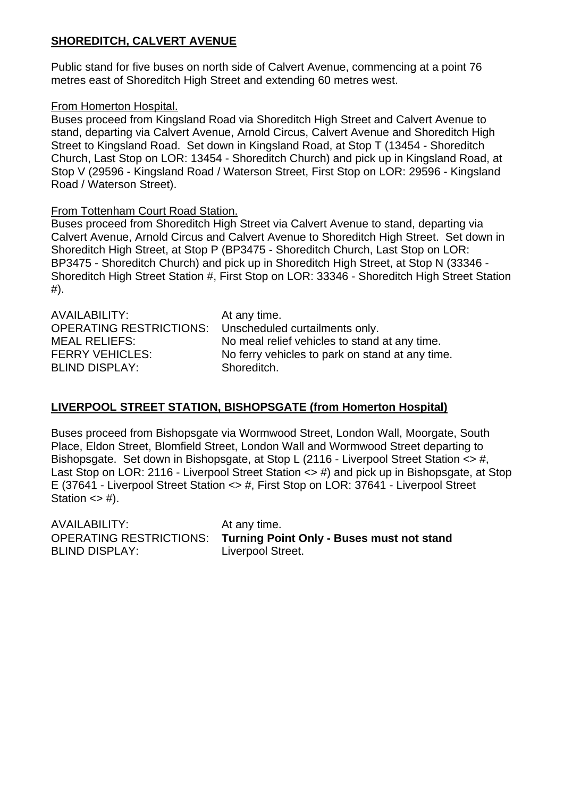# **SHOREDITCH, CALVERT AVENUE**

Public stand for five buses on north side of Calvert Avenue, commencing at a point 76 metres east of Shoreditch High Street and extending 60 metres west.

#### From Homerton Hospital.

Buses proceed from Kingsland Road via Shoreditch High Street and Calvert Avenue to stand, departing via Calvert Avenue, Arnold Circus, Calvert Avenue and Shoreditch High Street to Kingsland Road. Set down in Kingsland Road, at Stop T (13454 - Shoreditch Church, Last Stop on LOR: 13454 - Shoreditch Church) and pick up in Kingsland Road, at Stop V (29596 - Kingsland Road / Waterson Street, First Stop on LOR: 29596 - Kingsland Road / Waterson Street).

#### From Tottenham Court Road Station.

Buses proceed from Shoreditch High Street via Calvert Avenue to stand, departing via Calvert Avenue, Arnold Circus and Calvert Avenue to Shoreditch High Street. Set down in Shoreditch High Street, at Stop P (BP3475 - Shoreditch Church, Last Stop on LOR: BP3475 - Shoreditch Church) and pick up in Shoreditch High Street, at Stop N (33346 - Shoreditch High Street Station #, First Stop on LOR: 33346 - Shoreditch High Street Station #).

| AVAILABILITY:                  | At any time.                                    |
|--------------------------------|-------------------------------------------------|
| <b>OPERATING RESTRICTIONS:</b> | Unscheduled curtailments only.                  |
| <b>MEAL RELIEFS:</b>           | No meal relief vehicles to stand at any time.   |
| <b>FERRY VEHICLES:</b>         | No ferry vehicles to park on stand at any time. |
| <b>BLIND DISPLAY:</b>          | Shoreditch.                                     |

## **LIVERPOOL STREET STATION, BISHOPSGATE (from Homerton Hospital)**

Buses proceed from Bishopsgate via Wormwood Street, London Wall, Moorgate, South Place, Eldon Street, Blomfield Street, London Wall and Wormwood Street departing to Bishopsgate. Set down in Bishopsgate, at Stop L (2116 - Liverpool Street Station <> #, Last Stop on LOR: 2116 - Liverpool Street Station <> #) and pick up in Bishopsgate, at Stop E (37641 - Liverpool Street Station <> #, First Stop on LOR: 37641 - Liverpool Street Station  $\langle$  = #).

| AVAILABILITY:                             | At any time. |
|-------------------------------------------|--------------|
| <b>OPERATING RESTRICTIONS: Turning Po</b> |              |
| <b>BLIND DISPLAY:</b>                     | Liverpool St |

g Point Only - Buses must not stand ol Street.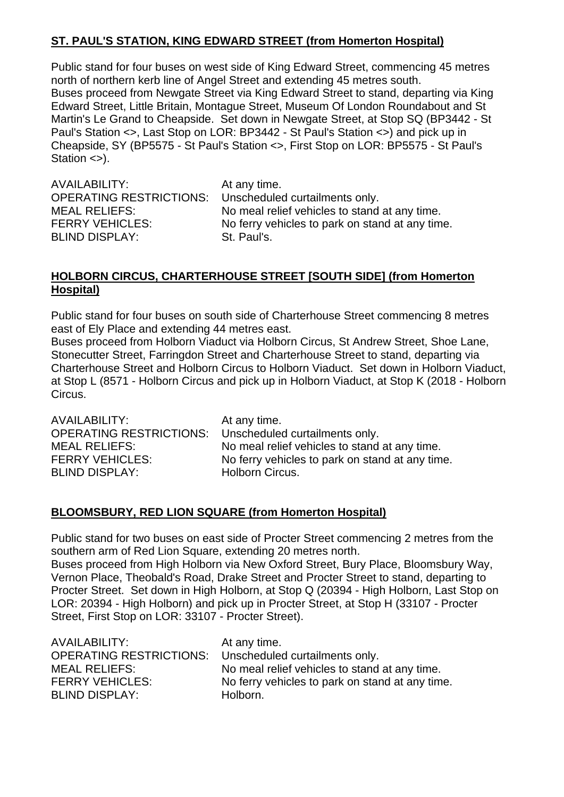# **ST. PAUL'S STATION, KING EDWARD STREET (from Homerton Hospital)**

Public stand for four buses on west side of King Edward Street, commencing 45 metres north of northern kerb line of Angel Street and extending 45 metres south. Buses proceed from Newgate Street via King Edward Street to stand, departing via King Edward Street, Little Britain, Montague Street, Museum Of London Roundabout and St Martin's Le Grand to Cheapside. Set down in Newgate Street, at Stop SQ (BP3442 - St Paul's Station <>, Last Stop on LOR: BP3442 - St Paul's Station <>) and pick up in Cheapside, SY (BP5575 - St Paul's Station <>, First Stop on LOR: BP5575 - St Paul's Station <>).

AVAILABILITY: At any time. OPERATING RESTRICTIONS: Unscheduled curtailments only. BLIND DISPLAY: St. Paul's.

MEAL RELIEFS: No meal relief vehicles to stand at any time. FERRY VEHICLES: No ferry vehicles to park on stand at any time.

#### **HOLBORN CIRCUS, CHARTERHOUSE STREET [SOUTH SIDE] (from Homerton Hospital)**

Public stand for four buses on south side of Charterhouse Street commencing 8 metres east of Ely Place and extending 44 metres east.

Buses proceed from Holborn Viaduct via Holborn Circus, St Andrew Street, Shoe Lane, Stonecutter Street, Farringdon Street and Charterhouse Street to stand, departing via Charterhouse Street and Holborn Circus to Holborn Viaduct. Set down in Holborn Viaduct, at Stop L (8571 - Holborn Circus and pick up in Holborn Viaduct, at Stop K (2018 - Holborn Circus.

AVAILABILITY: At any time. OPERATING RESTRICTIONS: Unscheduled curtailments only. MEAL RELIEFS: No meal relief vehicles to stand at any time. FERRY VEHICLES: No ferry vehicles to park on stand at any time.<br>BLIND DISPLAY: Holborn Circus. BLIND DISPLAY:

## **BLOOMSBURY, RED LION SQUARE (from Homerton Hospital)**

Public stand for two buses on east side of Procter Street commencing 2 metres from the southern arm of Red Lion Square, extending 20 metres north. Buses proceed from High Holborn via New Oxford Street, Bury Place, Bloomsbury Way, Vernon Place, Theobald's Road, Drake Street and Procter Street to stand, departing to Procter Street. Set down in High Holborn, at Stop Q (20394 - High Holborn, Last Stop on LOR: 20394 - High Holborn) and pick up in Procter Street, at Stop H (33107 - Procter Street, First Stop on LOR: 33107 - Procter Street).

| <b>AVAILABILITY:</b>           | At any time.                                    |
|--------------------------------|-------------------------------------------------|
| <b>OPERATING RESTRICTIONS:</b> | Unscheduled curtailments only.                  |
| <b>MEAL RELIEFS:</b>           | No meal relief vehicles to stand at any time.   |
| <b>FERRY VEHICLES:</b>         | No ferry vehicles to park on stand at any time. |
| <b>BLIND DISPLAY:</b>          | Holborn.                                        |